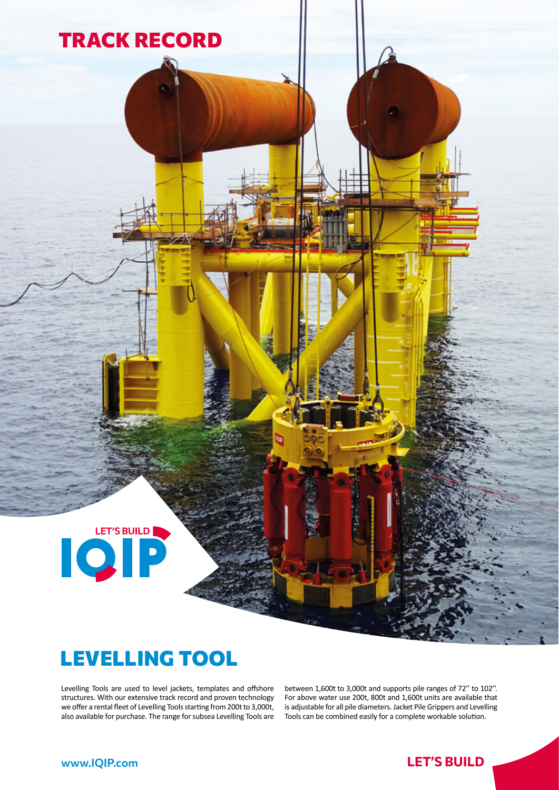

**TRACK RECORD** 

Levelling Tools are used to level jackets, templates and offshore structures. With our extensive track record and proven technology we offer a rental fleet of Levelling Tools starting from 200t to 3,000t, also available for purchase. The range for subsea Levelling Tools are

between 1,600t to 3,000t and supports pile ranges of 72'' to 102''. For above water use 200t, 800t and 1,600t units are available that is adjustable for all pile diameters. Jacket Pile Grippers and Levelling Tools can be combined easily for a complete workable solution.

LET'S BUILD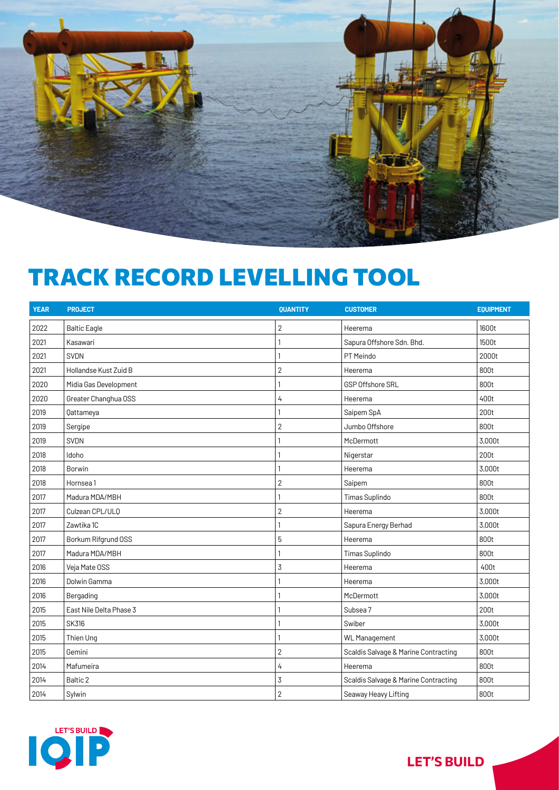

## **TRACK RECORD LEVELLING TOOL**

| <b>YEAR</b> | <b>PROJECT</b>          | <b>QUANTITY</b> | <b>CUSTOMER</b>                      | <b>EQUIPMENT</b> |
|-------------|-------------------------|-----------------|--------------------------------------|------------------|
| 2022        | <b>Baltic Eagle</b>     | 2               | Heerema                              | 1600t            |
| 2021        | Kasawari                |                 | Sapura Offshore Sdn. Bhd.            | 1500t            |
| 2021        | <b>SVDN</b>             |                 | PT Meindo                            | 2000t            |
| 2021        | Hollandse Kust Zuid B   | $\overline{2}$  | Heerema                              | 800t             |
| 2020        | Midia Gas Development   |                 | <b>GSP Offshore SRL</b>              | 800t             |
| 2020        | Greater Changhua OSS    | 4               | Heerema                              | 400t             |
| 2019        | Qattameya               |                 | Saipem SpA                           | 200t             |
| 2019        | Sergipe                 | $\overline{2}$  | Jumbo Offshore                       | 800t             |
| 2019        | <b>SVDN</b>             |                 | McDermott                            | 3,000t           |
| 2018        | Idoho                   |                 | Nigerstar                            | 200t             |
| 2018        | Borwin                  |                 | Heerema                              | 3,000t           |
| 2018        | Hornsea 1               | $\overline{2}$  | Saipem                               | 800t             |
| 2017        | Madura MDA/MBH          |                 | Timas Suplindo                       | 800t             |
| 2017        | Culzean CPL/ULQ         | $\overline{2}$  | Heerema                              | 3,000t           |
| 2017        | Zawtika 1C              | 1               | Sapura Energy Berhad                 | 3,000t           |
| 2017        | Borkum Rifgrund OSS     | 5               | Heerema                              | 800t             |
| 2017        | Madura MDA/MBH          |                 | Timas Suplindo                       | 800t             |
| 2016        | Veja Mate OSS           | 3               | Heerema                              | 400t             |
| 2016        | Dolwin Gamma            |                 | Heerema                              | 3,000t           |
| 2016        | Bergading               |                 | McDermott                            | 3,000t           |
| 2015        | East Nile Delta Phase 3 | 1               | Subsea 7                             | 200t             |
| 2015        | <b>SK316</b>            |                 | Swiber                               | 3,000t           |
| 2015        | Thien Ung               |                 | <b>WL</b> Management                 | 3,000t           |
| 2015        | Gemini                  | $\sqrt{2}$      | Scaldis Salvage & Marine Contracting | 800t             |
| 2014        | Mafumeira               | 4               | Heerema                              | 800t             |
| 2014        | Baltic 2                | 3               | Scaldis Salvage & Marine Contracting | 800t             |
| 2014        | Sylwin                  | $\overline{2}$  | Seaway Heavy Lifting                 | 800t             |



**LET'S BUILD**